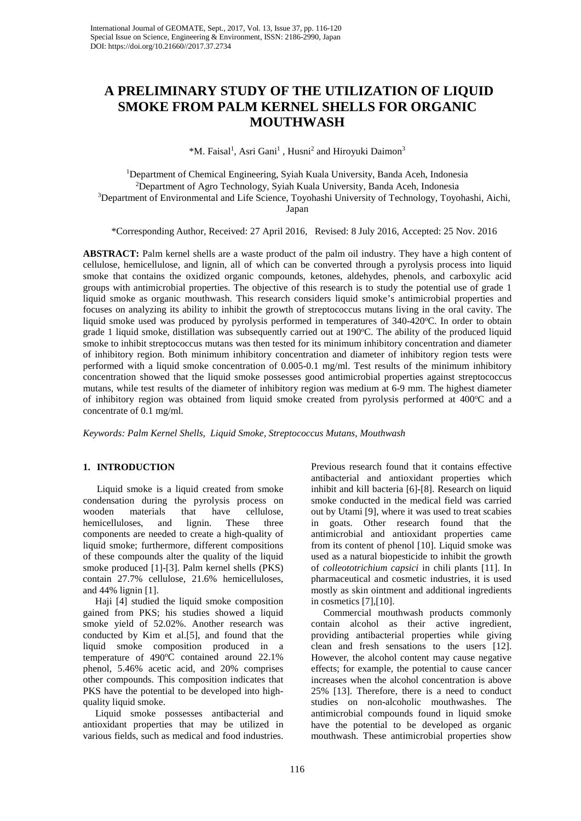# **A PRELIMINARY STUDY OF THE UTILIZATION OF LIQUID SMOKE FROM PALM KERNEL SHELLS FOR ORGANIC MOUTHWASH**

\*M. Faisal<sup>1</sup>, Asri Gani<sup>1</sup>, Husni<sup>2</sup> and Hiroyuki Daimon<sup>3</sup>

 Department of Chemical Engineering, Syiah Kuala University, Banda Aceh, Indonesia Department of Agro Technology, Syiah Kuala University, Banda Aceh, Indonesia Department of Environmental and Life Science, Toyohashi University of Technology, Toyohashi, Aichi, Japan

\*Corresponding Author, Received: 27 April 2016, Revised: 8 July 2016, Accepted: 25 Nov. 2016

**ABSTRACT:** Palm kernel shells are a waste product of the palm oil industry. They have a high content of cellulose, hemicellulose, and lignin, all of which can be converted through a pyrolysis process into liquid smoke that contains the oxidized organic compounds, ketones, aldehydes, phenols, and carboxylic acid groups with antimicrobial properties. The objective of this research is to study the potential use of grade 1 liquid smoke as organic mouthwash. This research considers liquid smoke's antimicrobial properties and focuses on analyzing its ability to inhibit the growth of streptococcus mutans living in the oral cavity. The liquid smoke used was produced by pyrolysis performed in temperatures of 340-420°C. In order to obtain grade 1 liquid smoke, distillation was subsequently carried out at 190°C. The ability of the produced liquid smoke to inhibit streptococcus mutans was then tested for its minimum inhibitory concentration and diameter of inhibitory region. Both minimum inhibitory concentration and diameter of inhibitory region tests were performed with a liquid smoke concentration of 0.005-0.1 mg/ml. Test results of the minimum inhibitory concentration showed that the liquid smoke possesses good antimicrobial properties against streptococcus mutans, while test results of the diameter of inhibitory region was medium at 6-9 mm. The highest diameter of inhibitory region was obtained from liquid smoke created from pyrolysis performed at 400°C and a concentrate of 0.1 mg/ml.

*Keywords: Palm Kernel Shells, Liquid Smoke, Streptococcus Mutans, Mouthwash*

## **1. INTRODUCTION**

Liquid smoke is a liquid created from smoke condensation during the pyrolysis process on wooden materials that have cellulose, hemicelluloses, and lignin. These three components are needed to create a high-quality of liquid smoke; furthermore, different compositions of these compounds alter the quality of the liquid smoke produced [1]-[3]. Palm kernel shells (PKS) contain 27.7% cellulose, 21.6% hemicelluloses, and 44% lignin [1].

 Haji [4] studied the liquid smoke composition gained from PKS; his studies showed a liquid smoke yield of 52.02%. Another research was conducted by Kim et al.[5], and found that the liquid smoke composition produced in a temperature of 490°C contained around 22.1% phenol, 5.46% acetic acid, and 20% comprises other compounds. This composition indicates that PKS have the potential to be developed into highquality liquid smoke.

 Liquid smoke possesses antibacterial and antioxidant properties that may be utilized in various fields, such as medical and food industries.

Previous research found that it contains effective antibacterial and antioxidant properties which inhibit and kill bacteria [6]-[8]. Research on liquid smoke conducted in the medical field was carried out by Utami [9], where it was used to treat scabies in goats. Other research found that the antimicrobial and antioxidant properties came from its content of phenol [10]. Liquid smoke was used as a natural biopesticide to inhibit the growth of *colleototrichium capsici* in chili plants [11]. In pharmaceutical and cosmetic industries, it is used mostly as skin ointment and additional ingredients in cosmetics [7],[10].

 Commercial mouthwash products commonly contain alcohol as their active ingredient, providing antibacterial properties while giving clean and fresh sensations to the users [12]. However, the alcohol content may cause negative effects; for example, the potential to cause cancer increases when the alcohol concentration is above 25% [13]. Therefore, there is a need to conduct studies on non-alcoholic mouthwashes. The antimicrobial compounds found in liquid smoke have the potential to be developed as organic mouthwash. These antimicrobial properties show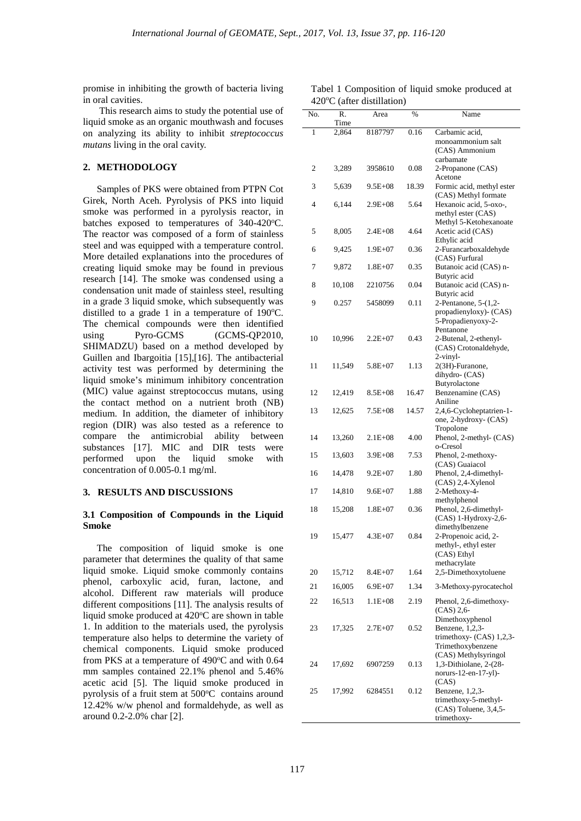promise in inhibiting the growth of bacteria living in oral cavities.

This research aims to study the potential use of liquid smoke as an organic mouthwash and focuses on analyzing its ability to inhibit *streptococcus mutans* living in the oral cavity.

## **2. METHODOLOGY**

Samples of PKS were obtained from PTPN Cot Girek, North Aceh. Pyrolysis of PKS into liquid smoke was performed in a pyrolysis reactor, in batches exposed to temperatures of 340-420°C. The reactor was composed of a form of stainless steel and was equipped with a temperature control. More detailed explanations into the procedures of creating liquid smoke may be found in previous research [14]. The smoke was condensed using a condensation unit made of stainless steel, resulting in a grade 3 liquid smoke, which subsequently was distilled to a grade 1 in a temperature of  $190^{\circ}$ C. The chemical compounds were then identified<br>using Pyro-GCMS (GCMS-QP2010, (GCMS-QP2010, SHIMADZU) based on a method developed by Guillen and Ibargoitia [15],[16]. The antibacterial activity test was performed by determining the liquid smoke's minimum inhibitory concentration (MIC) value against streptococcus mutans, using the contact method on a nutrient broth (NB) medium. In addition, the diameter of inhibitory region (DIR) was also tested as a reference to compare the antimicrobial ability between substances [17]. MIC and DIR tests were performed upon the liquid smoke with concentration of 0.005-0.1 mg/ml.

#### **3. RESULTS AND DISCUSSIONS**

#### **3.1 Composition of Compounds in the Liquid Smoke**

The composition of liquid smoke is one parameter that determines the quality of that same liquid smoke. Liquid smoke commonly contains phenol, carboxylic acid, furan, lactone, and alcohol. Different raw materials will produce different compositions [11]. The analysis results of liquid smoke produced at 420°C are shown in table 1. In addition to the materials used, the pyrolysis temperature also helps to determine the variety of chemical components. Liquid smoke produced from PKS at a temperature of  $490^{\circ}$ C and with 0.64 mm samples contained 22.1% phenol and 5.46% acetic acid [5]. The liquid smoke produced in pyrolysis of a fruit stem at 500°C contains around 12.42% w/w phenol and formaldehyde, as well as around 0.2-2.0% char [2].

|  |                                      |  |  | Tabel 1 Composition of liquid smoke produced at |  |
|--|--------------------------------------|--|--|-------------------------------------------------|--|
|  | $420^{\circ}$ C (after distillation) |  |  |                                                 |  |

|     |            | $420$ C (after distinguion) |       |                                                |
|-----|------------|-----------------------------|-------|------------------------------------------------|
| No. | R.<br>Time | Area                        | %     | Name                                           |
| 1   | 2,864      | 8187797                     | 0.16  | Carbamic acid,                                 |
|     |            |                             |       | monoammonium salt                              |
|     |            |                             |       | (CAS) Ammonium<br>carbamate                    |
| 2   | 3,289      | 3958610                     | 0.08  | 2-Propanone (CAS)                              |
|     |            |                             |       | Acetone                                        |
| 3   | 5,639      | $9.5E + 08$                 | 18.39 | Formic acid, methyl ester                      |
| 4   | 6,144      | $2.9E + 08$                 | 5.64  | (CAS) Methyl formate<br>Hexanoic acid, 5-oxo-, |
|     |            |                             |       | methyl ester (CAS)                             |
|     |            |                             |       | Methyl 5-Ketohexanoate                         |
| 5   | 8,005      | $2.4E + 08$                 | 4.64  | Acetic acid (CAS)                              |
| 6   | 9,425      | 1.9E+07                     | 0.36  | Ethylic acid<br>2-Furancarboxaldehyde          |
|     |            |                             |       | (CAS) Furfural                                 |
| 7   | 9,872      | $1.8E + 07$                 | 0.35  | Butanoic acid (CAS) n-                         |
|     |            |                             |       | Butyric acid                                   |
| 8   | 10,108     | 2210756                     | 0.04  | Butanoic acid (CAS) n-<br>Butyric acid         |
| 9   | 0.257      | 5458099                     | 0.11  | 2-Pentanone, 5-(1,2-                           |
|     |            |                             |       | propadienyloxy)- (CAS)                         |
|     |            |                             |       | 5-Propadienyoxy-2-                             |
| 10  | 10,996     | $2.2E+07$                   | 0.43  | Pentanone<br>2-Butenal, 2-ethenyl-             |
|     |            |                             |       | (CAS) Crotonaldehyde,                          |
|     |            |                             |       | 2-vinyl-                                       |
| 11  | 11,549     | $5.8E + 07$                 | 1.13  | 2(3H)-Furanone,                                |
|     |            |                             |       | dihydro- (CAS)<br>Butyrolactone                |
| 12  | 12,419     | $8.5E + 08$                 | 16.47 | Benzenamine (CAS)                              |
|     |            |                             |       | Aniline                                        |
| 13  | 12,625     | 7.5E+08                     | 14.57 | 2,4,6-Cycloheptatrien-1-                       |
|     |            |                             |       | one, 2-hydroxy- (CAS)<br>Tropolone             |
| 14  | 13,260     | $2.1E + 08$                 | 4.00  | Phenol, 2-methyl- (CAS)                        |
|     |            |                             |       | o-Cresol                                       |
| 15  | 13,603     | $3.9E + 08$                 | 7.53  | Phenol, 2-methoxy-<br>(CAS) Guaiacol           |
| 16  | 14,478     | $9.2E + 07$                 | 1.80  | Phenol, 2,4-dimethyl-                          |
|     |            |                             |       | (CAS) 2,4-Xylenol                              |
| 17  | 14,810     | $9.6E + 07$                 | 1.88  | 2-Methoxy-4-                                   |
| 18  | 15,208     | $1.8E + 07$                 | 0.36  | methylphenol<br>Phenol, 2,6-dimethyl-          |
|     |            |                             |       | (CAS) 1-Hydroxy-2,6-                           |
|     |            |                             |       | dimethylbenzene                                |
| 19  | 15,477     | $4.3E + 07$                 | 0.84  | 2-Propenoic acid, 2-                           |
|     |            |                             |       | methyl-, ethyl ester<br>(CAS) Ethyl            |
|     |            |                             |       | methacrylate                                   |
| 20  | 15,712     | $8.4E + 07$                 | 1.64  | 2,5-Dimethoxytoluene                           |
| 21  | 16,005     | $6.9E + 07$                 | 1.34  | 3-Methoxy-pyrocatechol                         |
| 22  | 16,513     | 1.1E+08                     | 2.19  | Phenol, 2,6-dimethoxy-                         |
|     |            |                             |       | (CAS) 2,6                                      |
|     |            |                             |       | Dimethoxyphenol                                |
| 23  | 17,325     | $2.7E+07$                   | 0.52  | Benzene, 1,2,3-<br>trimethoxy- (CAS) 1,2,3-    |
|     |            |                             |       | Trimethoxybenzene                              |
|     |            |                             |       | (CAS) Methylsyringol                           |
| 24  | 17,692     | 6907259                     | 0.13  | 1,3-Dithiolane, 2-(28-<br>norurs-12-en-17-yl)- |
|     |            |                             |       | (CAS)                                          |
| 25  | 17,992     | 6284551                     | 0.12  | Benzene, 1,2,3-                                |
|     |            |                             |       | trimethoxy-5-methyl-                           |
|     |            |                             |       | (CAS) Toluene, 3,4,5-<br>trimethoxy-           |
|     |            |                             |       |                                                |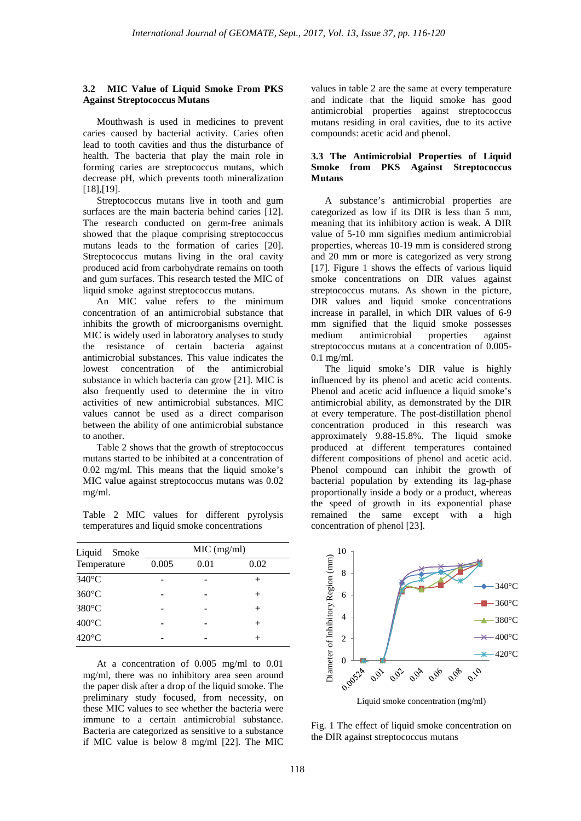#### **3.2 MIC Value of Liquid Smoke From PKS Against Streptococcus Mutans**

Mouthwash is used in medicines to prevent caries caused by bacterial activity. Caries often lead to tooth cavities and thus the disturbance of health. The bacteria that play the main role in forming caries are streptococcus mutans, which decrease pH, which prevents tooth mineralization [18],[19].

Streptococcus mutans live in tooth and gum surfaces are the main bacteria behind caries [12]. The research conducted on germ-free animals showed that the plaque comprising streptococcus mutans leads to the formation of caries [20]. Streptococcus mutans living in the oral cavity produced acid from carbohydrate remains on tooth and gum surfaces. This research tested the MIC of liquid smoke against streptococcus mutans.

An MIC value refers to the minimum concentration of an antimicrobial substance that inhibits the growth of microorganisms overnight. MIC is widely used in laboratory analyses to study the resistance of certain bacteria against antimicrobial substances. This value indicates the lowest concentration of the antimicrobial substance in which bacteria can grow [21]. MIC is also frequently used to determine the in vitro activities of new antimicrobial substances. MIC values cannot be used as a direct comparison between the ability of one antimicrobial substance to another.

Table 2 shows that the growth of streptococcus mutans started to be inhibited at a concentration of 0.02 mg/ml. This means that the liquid smoke's MIC value against streptococcus mutans was 0.02 mg/ml.

Table 2 MIC values for different pyrolysis temperatures and liquid smoke concentrations

| Liquid Smoke    | $MIC$ (mg/ml) |      |      |  |  |  |
|-----------------|---------------|------|------|--|--|--|
| Temperature     | 0.005         | 0.01 | 0.02 |  |  |  |
| 340°C           |               |      |      |  |  |  |
| $360^{\circ}$ C |               |      | $^+$ |  |  |  |
| 380°C           |               |      |      |  |  |  |
| $400^{\circ}$ C |               |      |      |  |  |  |
| 420°C           |               |      |      |  |  |  |

At a concentration of 0.005 mg/ml to 0.01 mg/ml, there was no inhibitory area seen around the paper disk after a drop of the liquid smoke. The preliminary study focused, from necessity, on these MIC values to see whether the bacteria were immune to a certain antimicrobial substance. Bacteria are categorized as sensitive to a substance if MIC value is below 8 mg/ml [22]. The MIC values in table 2 are the same at every temperature and indicate that the liquid smoke has good antimicrobial properties against streptococcus mutans residing in oral cavities, due to its active compounds: acetic acid and phenol.

## **3.3 The Antimicrobial Properties of Liquid Smoke from PKS Against Streptococcus Mutans**

A substance's antimicrobial properties are categorized as low if its DIR is less than 5 mm, meaning that its inhibitory action is weak. A DIR value of 5-10 mm signifies medium antimicrobial properties, whereas 10-19 mm is considered strong and 20 mm or more is categorized as very strong [17]. Figure 1 shows the effects of various liquid smoke concentrations on DIR values against streptococcus mutans. As shown in the picture, DIR values and liquid smoke concentrations increase in parallel, in which DIR values of 6-9 mm signified that the liquid smoke possesses<br>medium antimicrobial properties against medium antimicrobial properties against streptococcus mutans at a concentration of 0.005- 0.1 mg/ml.

The liquid smoke's DIR value is highly influenced by its phenol and acetic acid contents. Phenol and acetic acid influence a liquid smoke's antimicrobial ability, as demonstrated by the DIR at every temperature. The post-distillation phenol concentration produced in this research was approximately 9.88-15.8%. The liquid smoke produced at different temperatures contained different compositions of phenol and acetic acid. Phenol compound can inhibit the growth of bacterial population by extending its lag-phase proportionally inside a body or a product, whereas the speed of growth in its exponential phase remained the same except with a high concentration of phenol [23].



Fig. 1 The effect of liquid smoke concentration on the DIR against streptococcus mutans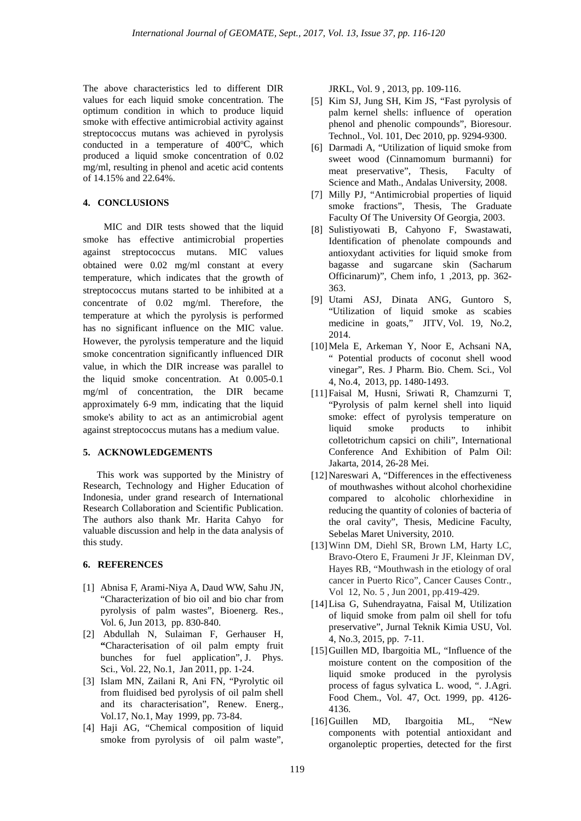The above characteristics led to different DIR values for each liquid smoke concentration. The optimum condition in which to produce liquid smoke with effective antimicrobial activity against streptococcus mutans was achieved in pyrolysis conducted in a temperature of  $400^{\circ}$ C, which produced a liquid smoke concentration of 0.02 mg/ml, resulting in phenol and acetic acid contents of 14.15% and 22.64%.

### **4. CONCLUSIONS**

MIC and DIR tests showed that the liquid smoke has effective antimicrobial properties against streptococcus mutans. MIC values obtained were 0.02 mg/ml constant at every temperature, which indicates that the growth of streptococcus mutans started to be inhibited at a concentrate of 0.02 mg/ml. Therefore, the temperature at which the pyrolysis is performed has no significant influence on the MIC value. However, the pyrolysis temperature and the liquid smoke concentration significantly influenced DIR value, in which the DIR increase was parallel to the liquid smoke concentration. At 0.005-0.1 mg/ml of concentration, the DIR became approximately 6-9 mm, indicating that the liquid smoke's ability to act as an antimicrobial agent against streptococcus mutans has a medium value.

## **5. ACKNOWLEDGEMENTS**

This work was supported by the Ministry of Research, Technology and Higher Education of Indonesia, under grand research of International Research Collaboration and Scientific Publication. The authors also thank Mr. Harita Cahyo for valuable discussion and help in the data analysis of this study.

## **6. REFERENCES**

- [1] Abnisa F, Arami-Niya A, Daud WW, Sahu JN, "Characterization of bio oil and bio char from pyrolysis of palm wastes", Bioenerg. Res., Vol. 6, Jun 2013, pp. 830-840.
- [2] Abdullah N, Sulaiman F, Gerhauser H, **"**Characterisation of oil palm empty fruit bunches for fuel application", J. Phys. Sci., Vol. 22, No.1, Jan 2011, pp. 1-24.
- [3] Islam MN, Zailani R, Ani FN, "Pyrolytic oil from fluidised bed pyrolysis of oil palm shell and its characterisation", Renew. Energ., Vol.17, No.1, May 1999, pp. 73-84.
- [4] Haji AG, "Chemical composition of liquid smoke from pyrolysis of oil palm waste",

JRKL, Vol. 9 , 2013, pp. 109-116.

- [5] Kim SJ, Jung SH, Kim JS, "Fast pyrolysis of palm kernel shells: influence of operation phenol and phenolic compounds", Bioresour. Technol., Vol. 101, Dec 2010, pp. 9294-9300.
- [6] Darmadi A, "Utilization of liquid smoke from sweet wood (Cinnamomum burmanni) for meat preservative", Thesis, Faculty of Science and Math., Andalas University, 2008.
- [7] Milly PJ, "Antimicrobial properties of liquid smoke fractions", Thesis, The Graduate Faculty Of The University Of Georgia, 2003.
- [8] Sulistiyowati B, Cahyono F, Swastawati, Identification of phenolate compounds and antioxydant activities for liquid smoke from bagasse and sugarcane skin (Sacharum Officinarum)", Chem info, 1 ,2013, pp. 362- 363.
- [9] Utami ASJ, Dinata ANG, Guntoro S, "Utilization of liquid smoke as scabies medicine in goats," JITV, Vol. 19, No.2, 2014.
- [10]Mela E, Arkeman Y, Noor E, Achsani NA, " Potential products of coconut shell wood vinegar", Res. J Pharm. Bio. Chem. Sci., Vol 4, No.4, 2013, pp. 1480-1493.
- [11]Faisal M, Husni, Sriwati R, Chamzurni T, "Pyrolysis of palm kernel shell into liquid smoke: effect of pyrolysis temperature on liquid smoke products to inhibit colletotrichum capsici on chili", International Conference And Exhibition of Palm Oil: Jakarta, 2014, 26-28 Mei.
- [12]Nareswari A, "Differences in the effectiveness of mouthwashes without alcohol chorhexidine compared to alcoholic chlorhexidine in reducing the quantity of colonies of bacteria of the oral cavity", Thesis, Medicine Faculty, Sebelas Maret University, 2010.
- [13]Winn DM, Diehl SR, Brown LM, Harty LC, Bravo-Otero E, Fraumeni Jr JF, Kleinman DV, Hayes RB, "Mouthwash in the etiology of oral cancer in Puerto Rico", Cancer Causes Contr., Vol 12, No. 5 , Jun 2001, pp.419-429.
- [14]Lisa G, Suhendrayatna, Faisal M, Utilization of liquid smoke from palm oil shell for tofu preservative", Jurnal Teknik Kimia USU, Vol. 4, No.3, 2015, pp. 7-11.
- [15] Guillen MD, Ibargoitia ML, "Influence of the moisture content on the composition of the liquid smoke produced in the pyrolysis process of fagus sylvatica L. wood, ". J.Agri. Food Chem., Vol. 47, Oct. 1999, pp. 4126- 4136.
- [16]Guillen MD, Ibargoitia ML, "New components with potential antioxidant and organoleptic properties, detected for the first